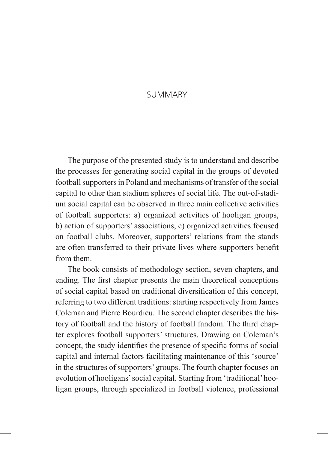## **SUMMARY**

The purpose of the presented study is to understand and describe the processes for generating social capital in the groups of devoted football supporters in Poland and mechanisms of transfer of the social capital to other than stadium spheres of social life. The out-of-stadium social capital can be observed in three main collective activities of football supporters: a) organized activities of hooligan groups, b) action of supporters' associations, c) organized activities focused on football clubs. Moreover, supporters' relations from the stands are often transferred to their private lives where supporters benefit from them.

The book consists of methodology section, seven chapters, and ending. The first chapter presents the main theoretical conceptions of social capital based on traditional diversification of this concept, referring to two different traditions: starting respectively from James Coleman and Pierre Bourdieu. The second chapter describes the history of football and the history of football fandom. The third chapter explores football supporters' structures. Drawing on Coleman's concept, the study identifies the presence of specific forms of social capital and internal factors facilitating maintenance of this 'source' in the structures of supporters' groups. The fourth chapter focuses on evolution of hooligans' social capital. Starting from 'traditional' hooligan groups, through specialized in football violence, professional